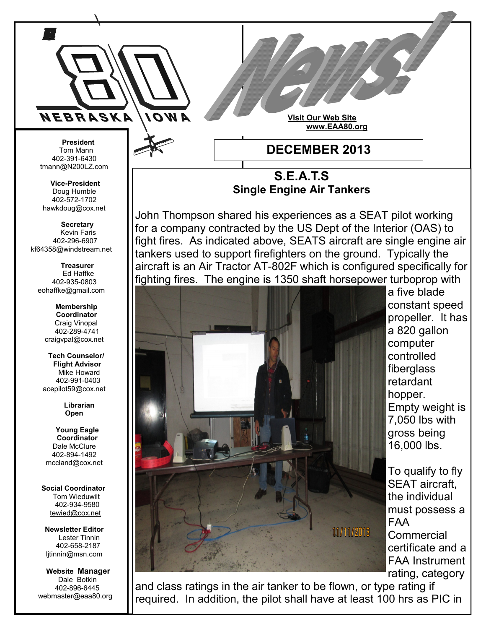

 Tom Mann 402-391-6430 tmann@N200LZ.com

**Vice-President** Doug Humble 402-572-1702 hawkdoug@cox.net

 **Secretary** Kevin Faris 402-296-6907 kf64358@windstream.net

 **Treasurer** Ed Haffke 402-935-0803 eohaffke@gmail.com

> **Membership Coordinator** Craig Vinopal 402-289-4741 craigvpal@cox.net

 **Tech Counselor/ Flight Advisor** Mike Howard 402-991-0403 acepilot59@cox.net

> **Librarian Open**

 **Young Eagle Coordinator** Dale McClure 402-894-1492 mccland@cox.net

 **Social Coordinator** Tom Wieduwilt 402-934-9580 [tewied@cox.net](javascript:parent.wgMail.openComposeWindow()

**Newsletter Editor** Lester Tinnin 402-658-2187 ljtinnin@msn.com

 **Website Manager** Dale Botkin 402-896-6445 webmaster@eaa80.org

**S.E.A.T.S Single Engine Air Tankers**

John Thompson shared his experiences as a SEAT pilot working for a company contracted by the US Dept of the Interior (OAS) to fight fires. As indicated above, SEATS aircraft are single engine air tankers used to support firefighters on the ground. Typically the aircraft is an Air Tractor AT-802F which is configured specifically for fighting fires. The engine is 1350 shaft horsepower turboprop with



a five blade constant speed propeller. It has a 820 gallon computer controlled fiberglass retardant hopper. Empty weight is 7,050 lbs with gross being 16,000 lbs.

To qualify to fly SEAT aircraft, the individual must possess a FAA **Commercial** certificate and a FAA Instrument rating, category

and class ratings in the air tanker to be flown, or type rating if required. In addition, the pilot shall have at least 100 hrs as PIC in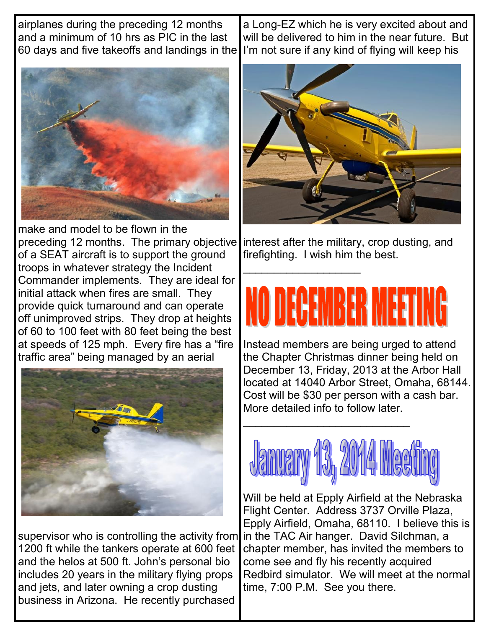airplanes during the preceding 12 months and a minimum of 10 hrs as PIC in the last 60 days and five takeoffs and landings in the

make and model to be flown in the preceding 12 months. The primary objective of a SEAT aircraft is to support the ground troops in whatever strategy the Incident Commander implements. They are ideal for initial attack when fires are small. They provide quick turnaround and can operate off unimproved strips. They drop at heights of 60 to 100 feet with 80 feet being the best at speeds of 125 mph. Every fire has a "fire traffic area" being managed by an aerial



supervisor who is controlling the activity from in the TAC Air hanger. David Silchman, a 1200 ft while the tankers operate at 600 feet and the helos at 500 ft. John's personal bio includes 20 years in the military flying props and jets, and later owning a crop dusting business in Arizona. He recently purchased

a Long-EZ which he is very excited about and will be delivered to him in the near future. But I'm not sure if any kind of flying will keep his



interest after the military, crop dusting, and firefighting. I wish him the best.

\_\_\_\_\_\_\_\_\_\_\_\_\_\_\_\_\_\_\_

## HEWINER SYNIER

Instead members are being urged to attend the Chapter Christmas dinner being held on December 13, Friday, 2013 at the Arbor Hall located at 14040 Arbor Street, Omaha, 68144. Cost will be \$30 per person with a cash bar. More detailed info to follow later.



\_\_\_\_\_\_\_\_\_\_\_\_\_\_\_\_\_\_\_\_\_\_\_\_\_\_\_

Will be held at Epply Airfield at the Nebraska Flight Center. Address 3737 Orville Plaza, Epply Airfield, Omaha, 68110. I believe this is chapter member, has invited the members to come see and fly his recently acquired Redbird simulator. We will meet at the normal time, 7:00 P.M. See you there.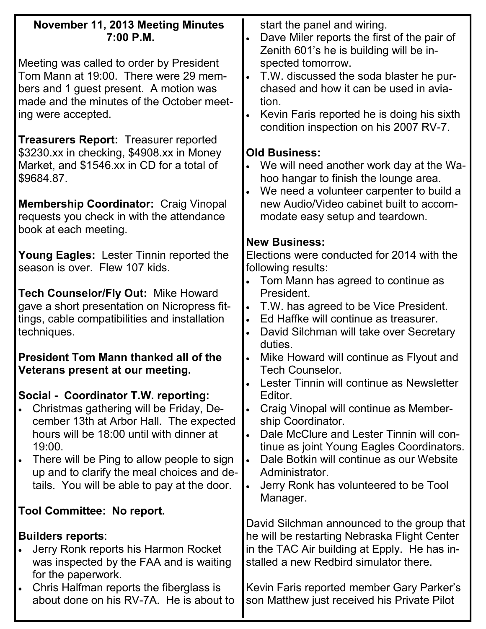| November 11, 2013 Meeting Minutes<br>$7:00$ P.M.                                                                                                                                                                                                                                                                            | start the panel and wiring.<br>Dave Miler reports the first of the pair of                                                                                                                                                                                                                                                                                                          |
|-----------------------------------------------------------------------------------------------------------------------------------------------------------------------------------------------------------------------------------------------------------------------------------------------------------------------------|-------------------------------------------------------------------------------------------------------------------------------------------------------------------------------------------------------------------------------------------------------------------------------------------------------------------------------------------------------------------------------------|
| Meeting was called to order by President<br>Tom Mann at 19:00. There were 29 mem-<br>bers and 1 guest present. A motion was<br>made and the minutes of the October meet-<br>ing were accepted.                                                                                                                              | Zenith 601's he is building will be in-<br>spected tomorrow.<br>T.W. discussed the soda blaster he pur-<br>$\bullet$<br>chased and how it can be used in avia-<br>tion.<br>Kevin Faris reported he is doing his sixth<br>condition inspection on his 2007 RV-7.                                                                                                                     |
| <b>Treasurers Report: Treasurer reported</b><br>\$3230.xx in checking, \$4908.xx in Money<br>Market, and \$1546.xx in CD for a total of<br>\$9684.87.<br><b>Membership Coordinator: Craig Vinopal</b><br>requests you check in with the attendance                                                                          | <b>Old Business:</b><br>We will need another work day at the Wa-<br>hoo hangar to finish the lounge area.<br>We need a volunteer carpenter to build a<br>new Audio/Video cabinet built to accom-<br>modate easy setup and teardown.                                                                                                                                                 |
| book at each meeting.                                                                                                                                                                                                                                                                                                       | <b>New Business:</b>                                                                                                                                                                                                                                                                                                                                                                |
| <b>Young Eagles: Lester Tinnin reported the</b><br>season is over. Flew 107 kids.                                                                                                                                                                                                                                           | Elections were conducted for 2014 with the<br>following results:                                                                                                                                                                                                                                                                                                                    |
| Tech Counselor/Fly Out: Mike Howard<br>gave a short presentation on Nicropress fit-<br>tings, cable compatibilities and installation<br>techniques.                                                                                                                                                                         | Tom Mann has agreed to continue as<br>President.<br>T.W. has agreed to be Vice President.<br>$\bullet$<br>Ed Haffke will continue as treasurer.<br>$\bullet$<br>David Silchman will take over Secretary<br>$\bullet$<br>duties.                                                                                                                                                     |
| <b>President Tom Mann thanked all of the</b><br>Veterans present at our meeting.                                                                                                                                                                                                                                            | Mike Howard will continue as Flyout and<br>Tech Counselor.                                                                                                                                                                                                                                                                                                                          |
| Social - Coordinator T.W. reporting:<br>Christmas gathering will be Friday, De-<br>cember 13th at Arbor Hall. The expected<br>hours will be 18:00 until with dinner at<br>19:00.<br>There will be Ping to allow people to sign<br>up and to clarify the meal choices and de-<br>tails. You will be able to pay at the door. | Lester Tinnin will continue as Newsletter<br>Editor.<br>Craig Vinopal will continue as Member-<br>$\bullet$<br>ship Coordinator.<br>Dale McClure and Lester Tinnin will con-<br>$\bullet$<br>tinue as joint Young Eagles Coordinators.<br>Dale Botkin will continue as our Website<br>$\bullet$<br>Administrator.<br>Jerry Ronk has volunteered to be Tool<br>$\bullet$<br>Manager. |
| Tool Committee: No report.                                                                                                                                                                                                                                                                                                  |                                                                                                                                                                                                                                                                                                                                                                                     |
| <b>Builders reports:</b><br>Jerry Ronk reports his Harmon Rocket<br>was inspected by the FAA and is waiting<br>for the paperwork.<br>Chris Halfman reports the fiberglass is<br>$\bullet$<br>about done on his RV-7A. He is about to                                                                                        | David Silchman announced to the group that<br>he will be restarting Nebraska Flight Center<br>in the TAC Air building at Epply. He has in-<br>stalled a new Redbird simulator there.<br>Kevin Faris reported member Gary Parker's<br>son Matthew just received his Private Pilot                                                                                                    |